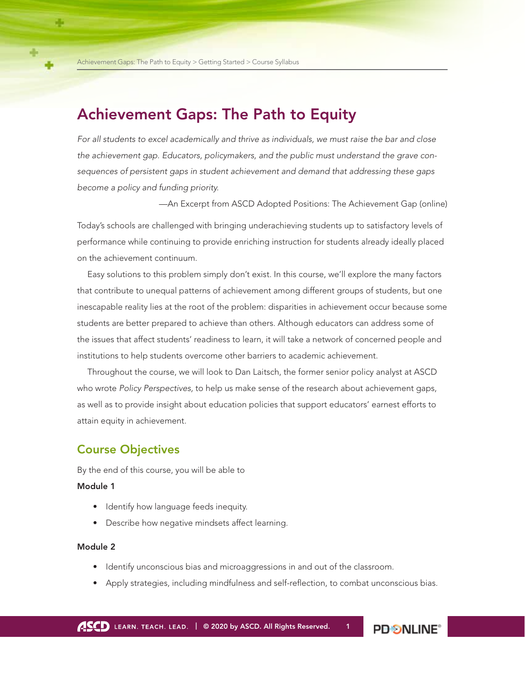# Achievement Gaps: The Path to Equity

*For all students to excel academically and thrive as individuals, we must raise the bar and close the achievement gap. Educators, policymakers, and the public must understand the grave consequences of persistent gaps in student achievement and demand that addressing these gaps become a policy and funding priority.*

—An Excerpt from ASCD Adopted Positions: The Achievement Gap (online)

Today's schools are challenged with bringing underachieving students up to satisfactory levels of performance while continuing to provide enriching instruction for students already ideally placed on the achievement continuum.

Easy solutions to this problem simply don't exist. In this course, we'll explore the many factors that contribute to unequal patterns of achievement among different groups of students, but one inescapable reality lies at the root of the problem: disparities in achievement occur because some students are better prepared to achieve than others. Although educators can address some of the issues that affect students' readiness to learn, it will take a network of concerned people and institutions to help students overcome other barriers to academic achievement.

Throughout the course, we will look to Dan Laitsch, the former senior policy analyst at ASCD who wrote *Policy Perspectives,* to help us make sense of the research about achievement gaps, as well as to provide insight about education policies that support educators' earnest efforts to attain equity in achievement.

# Course Objectives

By the end of this course, you will be able to

#### Module 1

- Identify how language feeds inequity.
- Describe how negative mindsets affect learning.

#### Module 2

- Identify unconscious bias and microaggressions in and out of the classroom.
- Apply strategies, including mindfulness and self-reflection, to combat unconscious bias.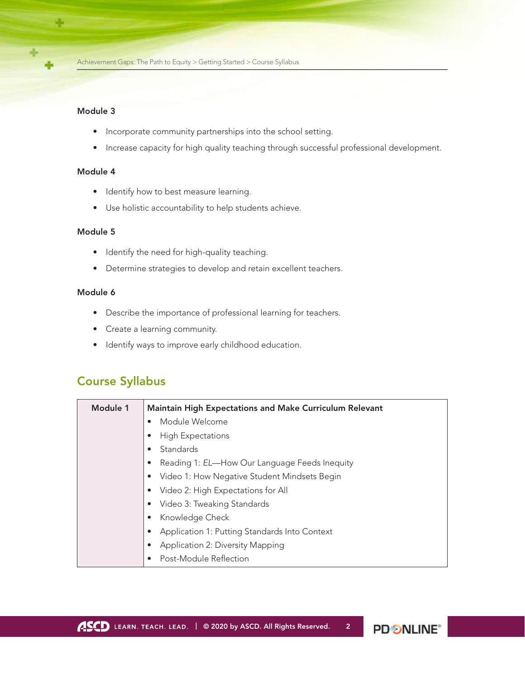#### Module 3

- Incorporate community partnerships into the school setting.
- Increase capacity for high quality teaching through successful professional development.

### Module 4

- Identify how to best measure learning.
- Use holistic accountability to help students achieve.

### Module 5

- Identify the need for high-quality teaching.
- Determine strategies to develop and retain excellent teachers.

### Module 6

- Describe the importance of professional learning for teachers.
- Create a learning community.
- Identify ways to improve early childhood education.

# Course Syllabus

| Module 1 | <b>Maintain High Expectations and Make Curriculum Relevant</b> |
|----------|----------------------------------------------------------------|
|          | Module Welcome<br>$\bullet$                                    |
|          | <b>High Expectations</b><br>$\bullet$                          |
|          | Standards<br>$\bullet$                                         |
|          | Reading 1: EL-How Our Language Feeds Inequity<br>$\bullet$     |
|          | Video 1: How Negative Student Mindsets Begin                   |
|          | Video 2: High Expectations for All                             |
|          | Video 3: Tweaking Standards                                    |
|          | Knowledge Check                                                |
|          | Application 1: Putting Standards Into Context                  |
|          | Application 2: Diversity Mapping                               |
|          | Post-Module Reflection                                         |

**PDSNLINE**<sup>®</sup>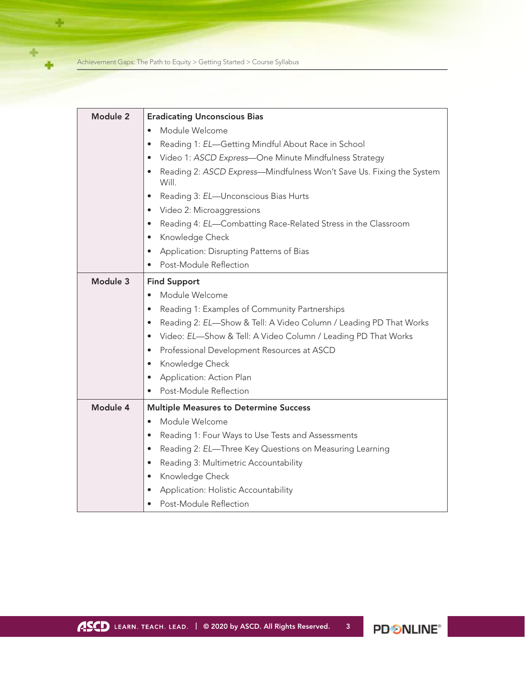Achievement Gaps: The Path to Equity > Getting Started > Course Syllabus

÷

÷

÷

| Module 2 | <b>Eradicating Unconscious Bias</b>                                                        |
|----------|--------------------------------------------------------------------------------------------|
|          | Module Welcome                                                                             |
|          | Reading 1: EL-Getting Mindful About Race in School<br>$\bullet$                            |
|          | Video 1: ASCD Express-One Minute Mindfulness Strategy                                      |
|          | Reading 2: ASCD Express-Mindfulness Won't Save Us. Fixing the System<br>$\bullet$<br>Will. |
|          | Reading 3: EL-Unconscious Bias Hurts<br>$\bullet$                                          |
|          | Video 2: Microaggressions<br>$\bullet$                                                     |
|          | Reading 4: EL-Combatting Race-Related Stress in the Classroom<br>$\bullet$                 |
|          | Knowledge Check<br>$\bullet$                                                               |
|          | Application: Disrupting Patterns of Bias<br>$\bullet$                                      |
|          | Post-Module Reflection                                                                     |
| Module 3 | <b>Find Support</b>                                                                        |
|          | Module Welcome<br>$\bullet$                                                                |
|          | Reading 1: Examples of Community Partnerships<br>$\bullet$                                 |
|          | Reading 2: EL-Show & Tell: A Video Column / Leading PD That Works<br>$\bullet$             |
|          | Video: EL-Show & Tell: A Video Column / Leading PD That Works<br>$\bullet$                 |
|          | Professional Development Resources at ASCD<br>$\bullet$                                    |
|          | Knowledge Check<br>$\bullet$                                                               |
|          | Application: Action Plan<br>$\bullet$                                                      |
|          | Post-Module Reflection<br>$\bullet$                                                        |
| Module 4 | <b>Multiple Measures to Determine Success</b>                                              |
|          | Module Welcome<br>$\bullet$                                                                |
|          | Reading 1: Four Ways to Use Tests and Assessments<br>$\bullet$                             |
|          | Reading 2: EL-Three Key Questions on Measuring Learning<br>$\bullet$                       |
|          | Reading 3: Multimetric Accountability<br>$\bullet$                                         |
|          | Knowledge Check<br>$\bullet$                                                               |
|          | Application: Holistic Accountability                                                       |
|          | Post-Module Reflection                                                                     |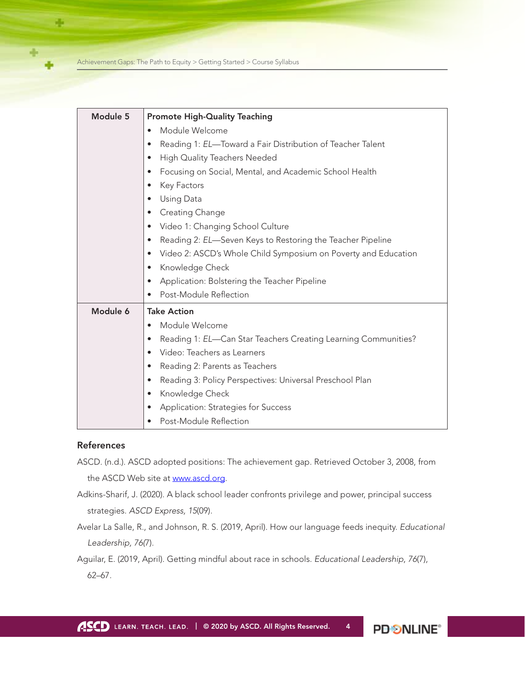Achievement Gaps: The Path to Equity > Getting Started > Course Syllabus

| Module 5 | <b>Promote High-Quality Teaching</b>                                        |
|----------|-----------------------------------------------------------------------------|
|          | Module Welcome<br>$\bullet$                                                 |
|          | Reading 1: EL-Toward a Fair Distribution of Teacher Talent<br>$\bullet$     |
|          | High Quality Teachers Needed<br>$\bullet$                                   |
|          | Focusing on Social, Mental, and Academic School Health<br>$\bullet$         |
|          | Key Factors<br>$\bullet$                                                    |
|          | Using Data<br>$\bullet$                                                     |
|          | Creating Change<br>$\bullet$                                                |
|          | Video 1: Changing School Culture<br>$\bullet$                               |
|          | Reading 2: EL-Seven Keys to Restoring the Teacher Pipeline<br>$\bullet$     |
|          | Video 2: ASCD's Whole Child Symposium on Poverty and Education<br>$\bullet$ |
|          | Knowledge Check<br>$\bullet$                                                |
|          | Application: Bolstering the Teacher Pipeline<br>$\bullet$                   |
|          | Post-Module Reflection<br>$\bullet$                                         |
| Module 6 | <b>Take Action</b>                                                          |
|          | Module Welcome<br>$\bullet$                                                 |
|          | Reading 1: EL-Can Star Teachers Creating Learning Communities?<br>$\bullet$ |
|          | Video: Teachers as Learners<br>$\bullet$                                    |
|          | Reading 2: Parents as Teachers<br>$\bullet$                                 |
|          | Reading 3: Policy Perspectives: Universal Preschool Plan<br>$\bullet$       |
|          | Knowledge Check<br>$\bullet$                                                |
|          | Application: Strategies for Success<br>$\bullet$                            |
|          | Post-Module Reflection                                                      |

## **References**

-6

- ASCD. (n.d.). ASCD adopted positions: The achievement gap. Retrieved October 3, 2008, from the ASCD Web site at [www.ascd.org.](http://www.ascd.org/)
- Adkins-Sharif, J. (2020). A black school leader confronts privilege and power, principal success strategies. *ASCD Express, 15*(09).
- Avelar La Salle, R., and Johnson, R. S. (2019, April). How our language feeds inequity. *Educational Leadership, 76(*7).
- Aguilar, E. (2019, April). Getting mindful about race in schools. *Educational Leadership*, *76*(7), 62–67.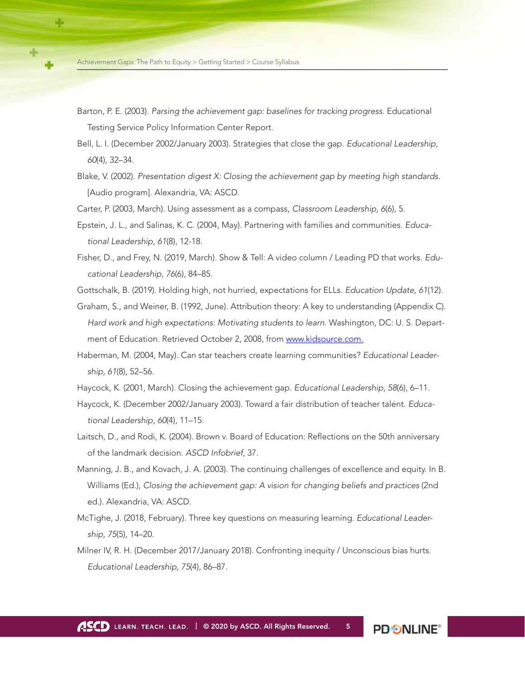- Barton, P. E. (2003). *Parsing the achievement gap: baselines for tracking progress.* Educational Testing Service Policy Information Center Report.
- Bell, L. I. (December 2002/January 2003). Strategies that close the gap. *Educational Leadership*, *60*(4), 32–34.
- Blake, V. (2002). *Presentation digest X: Closing the achievement gap by meeting high standards.* [Audio program]. Alexandria, VA: ASCD.

Carter, P. (2003, March). Using assessment as a compass, *Classroom Leadership, 6*(6), 5.

- Epstein, J. L., and Salinas, K. C. (2004, May). Partnering with families and communities. *Educational Leadership, 61*(8), 12-18.
- Fisher, D., and Frey, N. (2019, March). Show & Tell: A video column / Leading PD that works. *Educational Leadership*, *76*(6), 84–85.
- Gottschalk, B. (2019). Holding high, not hurried, expectations for ELLs. *Education Update, 61*(12).
- Graham, S., and Weiner, B. (1992, June). Attribution theory: A key to understanding (Appendix C). *Hard work and high expectations: Motivating students to learn*. Washington, DC: U. S. Department of Education. Retrieved October 2, 2008, from [www.kidsource.com.](http://www.kidsource.com/)
- Haberman, M. (2004, May). Can star teachers create learning communities? *Educational Leadership, 61*(8), 52–56.
- Haycock, K. (2001, March). Closing the achievement gap. *Educational Leadership, 58*(6), 6–11.
- Haycock, K. (December 2002/January 2003). Toward a fair distribution of teacher talent. *Educational Leadership, 60*(4), 11–15.
- Laitsch, D., and Rodi, K. (2004). Brown v. Board of Education: Reflections on the 50th anniversary of the landmark decision. *ASCD Infobrief*, 37.
- Manning, J. B., and Kovach, J. A. (2003). The continuing challenges of excellence and equity. In B. Williams (Ed.), *Closing the achievement gap: A vision for changing beliefs and practices* (2nd ed.). Alexandria, VA: ASCD.
- McTighe, J. (2018, February). Three key questions on measuring learning. *Educational Leadership, 75*(5), 14–20.
- Milner IV, R. H. (December 2017/January 2018). Confronting inequity / Unconscious bias hurts. *Educational Leadership, 75*(4), 86–87.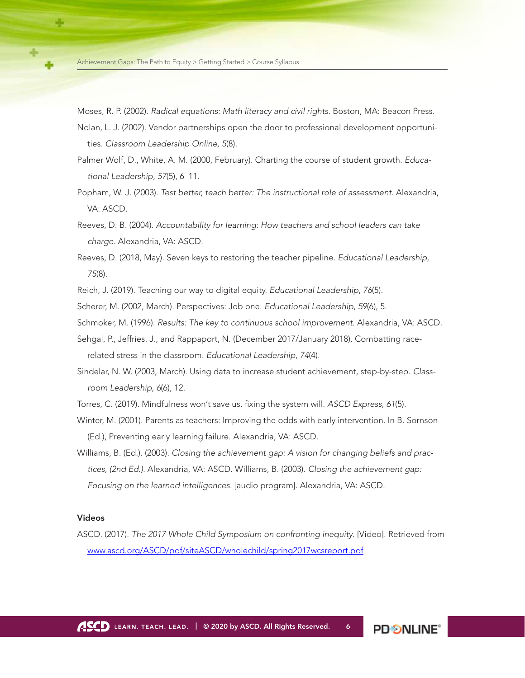Moses, R. P. (2002). *Radical equations: Math literacy and civil rights.* Boston, MA: Beacon Press.

- Nolan, L. J. (2002). Vendor partnerships open the door to professional development opportunities. *Classroom Leadership Online, 5*(8).
- Palmer Wolf, D., White, A. M. (2000, February). Charting the course of student growth. *Educational Leadership*, *57*(5), 6–11.
- Popham, W. J. (2003). *Test better, teach better: The instructional role of assessment.* Alexandria, VA: ASCD.
- Reeves, D. B. (2004). *Accountability for learning: How teachers and school leaders can take charge.* Alexandria, VA: ASCD.
- Reeves, D. (2018, May). Seven keys to restoring the teacher pipeline. *Educational Leadership*, *75*(8).
- Reich, J. (2019). Teaching our way to digital equity. *Educational Leadership*, *76*(5).
- Scherer, M. (2002, March). Perspectives: Job one. *Educational Leadership*, *59*(6), 5.
- Schmoker, M. (1996). *Results: The key to continuous school improvement*. Alexandria, VA: ASCD.
- Sehgal, P., Jeffries. J., and Rappaport, N. (December 2017/January 2018). Combatting racerelated stress in the classroom. *Educational Leadership, 74*(4).
- Sindelar, N. W. (2003, March). Using data to increase student achievement, step-by-step. *Classroom Leadership, 6*(6), 12.
- Torres, C. (2019). Mindfulness won't save us. fixing the system will. *ASCD Express, 61*(5).
- Winter, M. (2001). Parents as teachers: Improving the odds with early intervention. In B. Sornson (Ed.), Preventing early learning failure. Alexandria, VA: ASCD.
- Williams, B. (Ed.). (2003). *Closing the achievement gap: A vision for changing beliefs and practices, (2nd Ed.)*. Alexandria, VA: ASCD. Williams, B. (2003). *Closing the achievement gap: Focusing on the learned intelligences.* [audio program]. Alexandria, VA: ASCD.

#### Videos

ASCD. (2017). *The 2017 Whole Child Symposium on confronting inequity*. [Video]. Retrieved from [www.ascd.org/ASCD/pdf/siteASCD/wholechild/spring2017wcsreport.pdf](http://www.ascd.org/ASCD/pdf/siteASCD/wholechild/spring2017wcsreport.pdf)